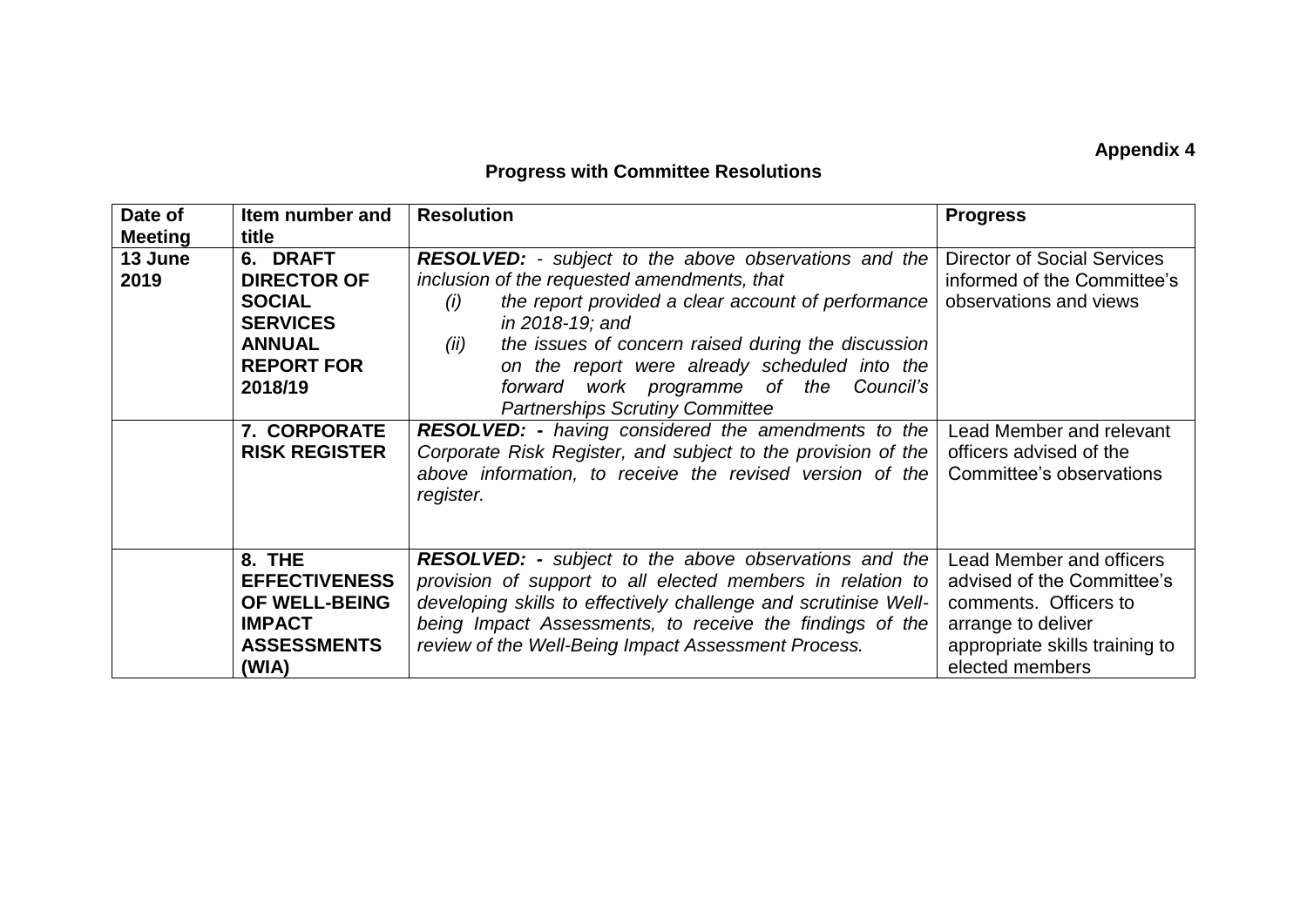## **Appendix 4**

## **Progress with Committee Resolutions**

| Date of        | Item number and      | <b>Resolution</b>                                               | <b>Progress</b>                    |
|----------------|----------------------|-----------------------------------------------------------------|------------------------------------|
| <b>Meeting</b> | title                |                                                                 |                                    |
| 13 June        | 6. DRAFT             | <b>RESOLVED:</b> - subject to the above observations and the    | <b>Director of Social Services</b> |
| 2019           | <b>DIRECTOR OF</b>   | inclusion of the requested amendments, that                     | informed of the Committee's        |
|                | <b>SOCIAL</b>        | the report provided a clear account of performance<br>(i)       | observations and views             |
|                | <b>SERVICES</b>      | in 2018-19; and                                                 |                                    |
|                | <b>ANNUAL</b>        | the issues of concern raised during the discussion<br>(ii)      |                                    |
|                | <b>REPORT FOR</b>    | on the report were already scheduled into the                   |                                    |
|                | 2018/19              | forward work programme of the Council's                         |                                    |
|                |                      | <b>Partnerships Scrutiny Committee</b>                          |                                    |
|                | 7. CORPORATE         | <b>RESOLVED:</b> - having considered the amendments to the      | Lead Member and relevant           |
|                | <b>RISK REGISTER</b> | Corporate Risk Register, and subject to the provision of the    | officers advised of the            |
|                |                      | above information, to receive the revised version of the        | Committee's observations           |
|                |                      | register.                                                       |                                    |
|                |                      |                                                                 |                                    |
|                |                      |                                                                 |                                    |
|                | 8. THE               | <b>RESOLVED:</b> - subject to the above observations and the    | Lead Member and officers           |
|                | <b>EFFECTIVENESS</b> | provision of support to all elected members in relation to      | advised of the Committee's         |
|                | OF WELL-BEING        | developing skills to effectively challenge and scrutinise Well- | comments. Officers to              |
|                | <b>IMPACT</b>        | being Impact Assessments, to receive the findings of the        | arrange to deliver                 |
|                | <b>ASSESSMENTS</b>   | review of the Well-Being Impact Assessment Process.             | appropriate skills training to     |
|                | (WIA)                |                                                                 | elected members                    |